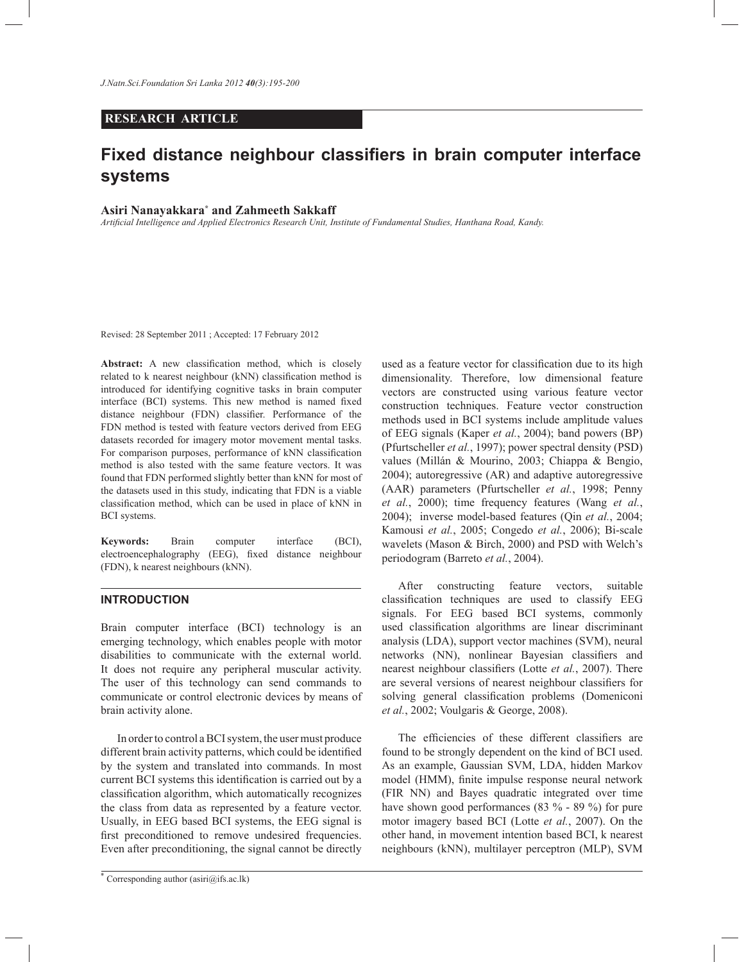## **RESEARCH ARTICLE**

# **Fixed distance neighbour classifiers in brain computer interface systems**

## **Asiri Nanayakkara\* and Zahmeeth Sakkaff**

*Artificial Intelligence and Applied Electronics Research Unit, Institute of Fundamental Studies, Hanthana Road, Kandy.*

Revised: 28 September 2011 ; Accepted: 17 February 2012

**Abstract:** A new classification method, which is closely related to k nearest neighbour (kNN) classification method is introduced for identifying cognitive tasks in brain computer interface (BCI) systems. This new method is named fixed distance neighbour (FDN) classifier. Performance of the FDN method is tested with feature vectors derived from EEG datasets recorded for imagery motor movement mental tasks. For comparison purposes, performance of kNN classification method is also tested with the same feature vectors. It was found that FDN performed slightly better than kNN for most of the datasets used in this study, indicating that FDN is a viable classification method, which can be used in place of kNN in BCI systems.

**Keywords:** Brain computer interface (BCI), electroencephalography (EEG), fixed distance neighbour (FDN), k nearest neighbours (kNN).

### **INTRODUCTION**

Brain computer interface (BCI) technology is an emerging technology, which enables people with motor disabilities to communicate with the external world. It does not require any peripheral muscular activity. The user of this technology can send commands to communicate or control electronic devices by means of brain activity alone.

 In order to control a BCI system, the user must produce different brain activity patterns, which could be identified by the system and translated into commands. In most current BCI systems this identification is carried out by a classification algorithm, which automatically recognizes the class from data as represented by a feature vector. Usually, in EEG based BCI systems, the EEG signal is first preconditioned to remove undesired frequencies. Even after preconditioning, the signal cannot be directly

used as a feature vector for classification due to its high dimensionality. Therefore, low dimensional feature vectors are constructed using various feature vector construction techniques. Feature vector construction methods used in BCI systems include amplitude values of EEG signals (Kaper *et al.*, 2004); band powers (BP) (Pfurtscheller *et al.*, 1997); power spectral density (PSD) values (Millán & Mourino, 2003; Chiappa & Bengio, 2004); autoregressive (AR) and adaptive autoregressive (AAR) parameters (Pfurtscheller *et al.*, 1998; Penny *et al.*, 2000); time frequency features (Wang *et al.*, 2004); inverse model-based features (Qin *et al.*, 2004; Kamousi *et al.*, 2005; Congedo *et al.*, 2006); Bi-scale wavelets (Mason & Birch, 2000) and PSD with Welch's periodogram (Barreto *et al.*, 2004).

 After constructing feature vectors, suitable classification techniques are used to classify EEG signals. For EEG based BCI systems, commonly used classification algorithms are linear discriminant analysis (LDA), support vector machines (SVM), neural networks (NN), nonlinear Bayesian classifiers and nearest neighbour classifiers (Lotte *et al.*, 2007). There are several versions of nearest neighbour classifiers for solving general classification problems (Domeniconi *et al.*, 2002; Voulgaris & George, 2008).

 The efficiencies of these different classifiers are found to be strongly dependent on the kind of BCI used. As an example, Gaussian SVM, LDA, hidden Markov model (HMM), finite impulse response neural network (FIR NN) and Bayes quadratic integrated over time have shown good performances (83 % - 89 %) for pure motor imagery based BCI (Lotte *et al.*, 2007). On the other hand, in movement intention based BCI, k nearest neighbours (kNN), multilayer perceptron (MLP), SVM

<sup>\*</sup> Corresponding author (asiri@ifs.ac.lk)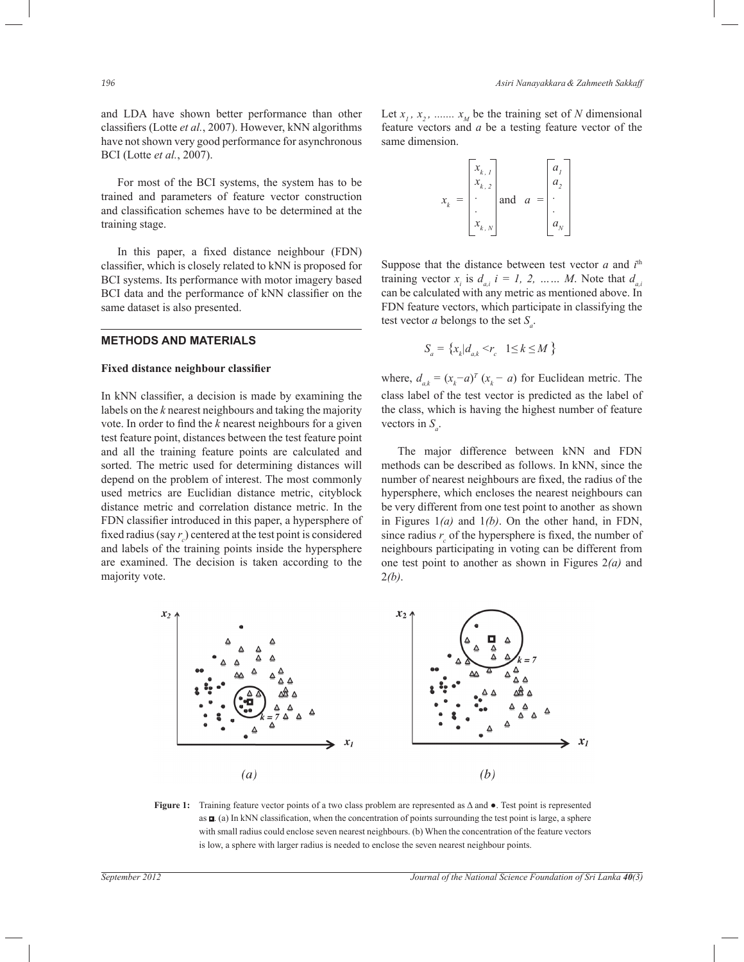and LDA have shown better performance than other classifiers (Lotte *et al.*, 2007). However, kNN algorithms have not shown very good performance for asynchronous BCI (Lotte *et al.*, 2007).

 For most of the BCI systems, the system has to be trained and parameters of feature vector construction and classification schemes have to be determined at the training stage.

 In this paper, a fixed distance neighbour (FDN) classifier, which is closely related to kNN is proposed for BCI systems. Its performance with motor imagery based BCI data and the performance of kNN classifier on the same dataset is also presented.

# **METHODS AND MATERIALS**

#### **Fixed distance neighbour classifier**

In kNN classifier, a decision is made by examining the labels on the *k* nearest neighbours and taking the majority vote. In order to find the *k* nearest neighbours for a given test feature point, distances between the test feature point and all the training feature points are calculated and sorted. The metric used for determining distances will depend on the problem of interest. The most commonly used metrics are Euclidian distance metric, cityblock distance metric and correlation distance metric. In the FDN classifier introduced in this paper, a hypersphere of fixed radius (say  $r_c$ ) centered at the test point is considered and labels of the training points inside the hypersphere are examined. The decision is taken according to the majority vote.

Let  $x_1, x_2, \dots, x_M$  be the training set of *N* dimensional feature vectors and *a* be a testing feature vector of the same dimension.

$$
x_k = \begin{bmatrix} x_{k,1} \\ x_{k,2} \\ \vdots \\ x_{k,N} \end{bmatrix} \text{ and } a = \begin{bmatrix} a_1 \\ a_2 \\ \vdots \\ a_N \end{bmatrix}
$$

Suppose that the distance between test vector  $a$  and  $i<sup>th</sup>$ training vector  $x_i$  is  $d_{a,i}$   $i = 1, 2, \dots, M$ . Note that  $d_{a,i}$ can be calculated with any metric as mentioned above. In FDN feature vectors, which participate in classifying the test vector *a* belongs to the set *S<sup>a</sup>* .

$$
S_a = \left\{ x_k | d_{a,k} < r_c \quad 1 \le k \le M \right\}
$$

where,  $d_{a,k} = (x_k - a)^T (x_k - a)$  for Euclidean metric. The class label of the test vector is predicted as the label of the class, which is having the highest number of feature vectors in  $S_a$ .

 The major difference between kNN and FDN methods can be described as follows. In kNN, since the number of nearest neighbours are fixed, the radius of the hypersphere, which encloses the nearest neighbours can be very different from one test point to another as shown in Figures 1*(a)* and 1*(b)*. On the other hand, in FDN, since radius  $r_c$  of the hypersphere is fixed, the number of neighbours participating in voting can be different from one test point to another as shown in Figures 2*(a)* and 2*(b)*.



**Figure 1:** Training feature vector points of a two class problem are represented as Δ and ●. Test point is represented as  $\Box$  (a) In kNN classification, when the concentration of points surrounding the test point is large, a sphere with small radius could enclose seven nearest neighbours. (b) When the concentration of the feature vectors is low, a sphere with larger radius is needed to enclose the seven nearest neighbour points.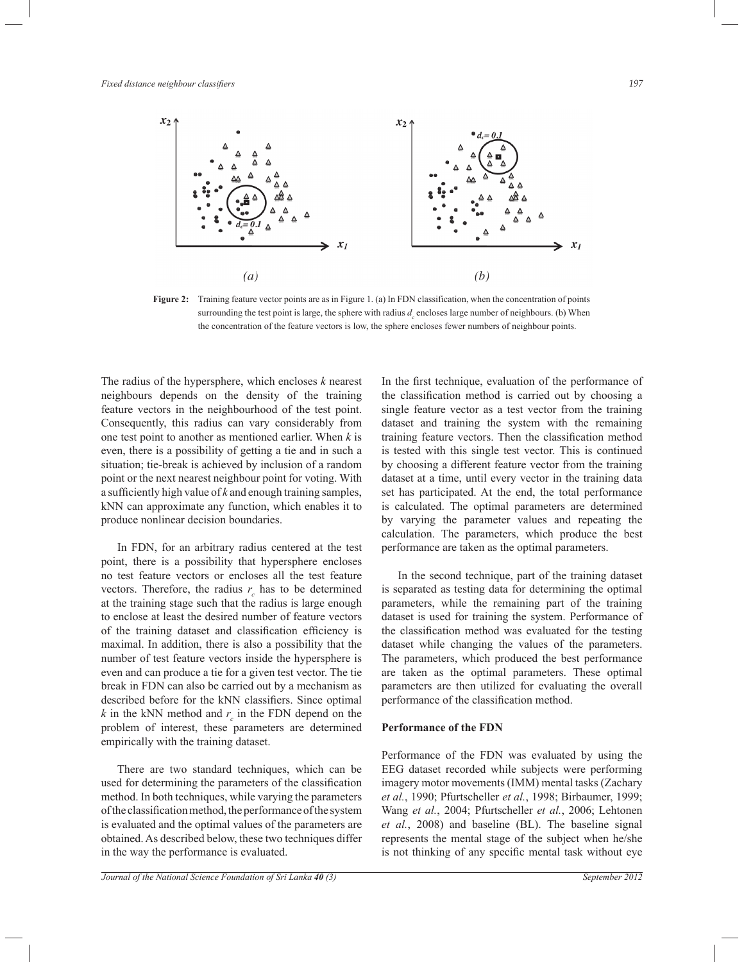

**Figure 2:** Training feature vector points are as in Figure 1. (a) In FDN classification, when the concentration of points surrounding the test point is large, the sphere with radius  $d_c$  encloses large number of neighbours. (b) When the concentration of the feature vectors is low, the sphere encloses fewer numbers of neighbour points.

The radius of the hypersphere, which encloses *k* nearest neighbours depends on the density of the training feature vectors in the neighbourhood of the test point. Consequently, this radius can vary considerably from one test point to another as mentioned earlier. When *k* is even, there is a possibility of getting a tie and in such a situation; tie-break is achieved by inclusion of a random point or the next nearest neighbour point for voting. With a sufficiently high value of *k* and enough training samples, kNN can approximate any function, which enables it to produce nonlinear decision boundaries.

 In FDN, for an arbitrary radius centered at the test point, there is a possibility that hypersphere encloses no test feature vectors or encloses all the test feature vectors. Therefore, the radius  $r_c$  has to be determined at the training stage such that the radius is large enough to enclose at least the desired number of feature vectors of the training dataset and classification efficiency is maximal. In addition, there is also a possibility that the number of test feature vectors inside the hypersphere is even and can produce a tie for a given test vector. The tie break in FDN can also be carried out by a mechanism as described before for the kNN classifiers. Since optimal  $k$  in the kNN method and  $r_c$  in the FDN depend on the problem of interest, these parameters are determined empirically with the training dataset.

 There are two standard techniques, which can be used for determining the parameters of the classification method. In both techniques, while varying the parameters of the classification method, the performance of the system is evaluated and the optimal values of the parameters are obtained. As described below, these two techniques differ in the way the performance is evaluated.

*Journal of the National Science Foundation of Sri Lanka 40 (3) September 2012*

the classification method is carried out by choosing a single feature vector as a test vector from the training dataset and training the system with the remaining training feature vectors. Then the classification method is tested with this single test vector. This is continued by choosing a different feature vector from the training dataset at a time, until every vector in the training data set has participated. At the end, the total performance is calculated. The optimal parameters are determined by varying the parameter values and repeating the calculation. The parameters, which produce the best performance are taken as the optimal parameters.

In the first technique, evaluation of the performance of

 In the second technique, part of the training dataset is separated as testing data for determining the optimal parameters, while the remaining part of the training dataset is used for training the system. Performance of the classification method was evaluated for the testing dataset while changing the values of the parameters. The parameters, which produced the best performance are taken as the optimal parameters. These optimal parameters are then utilized for evaluating the overall performance of the classification method.

#### **Performance of the FDN**

Performance of the FDN was evaluated by using the EEG dataset recorded while subjects were performing imagery motor movements (IMM) mental tasks (Zachary *et al.*, 1990; Pfurtscheller *et al.*, 1998; Birbaumer, 1999; Wang *et al.*, 2004; Pfurtscheller *et al.*, 2006; Lehtonen *et al.*, 2008) and baseline (BL). The baseline signal represents the mental stage of the subject when he/she is not thinking of any specific mental task without eye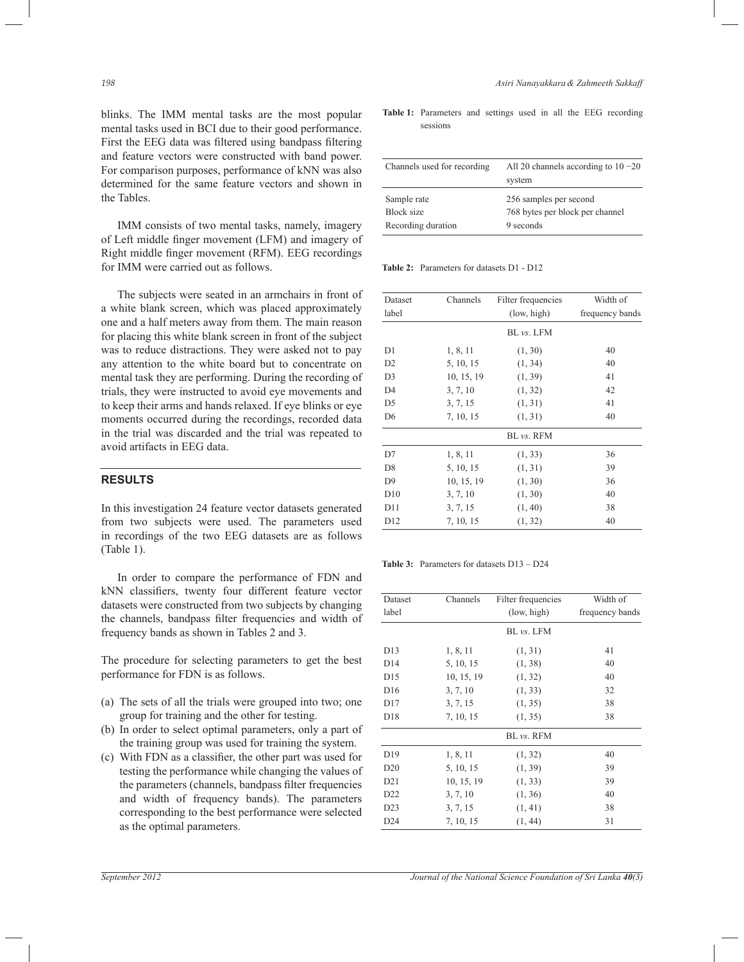blinks. The IMM mental tasks are the most popular mental tasks used in BCI due to their good performance. First the EEG data was filtered using bandpass filtering and feature vectors were constructed with band power. For comparison purposes, performance of kNN was also determined for the same feature vectors and shown in the Tables.

 IMM consists of two mental tasks, namely, imagery of Left middle finger movement (LFM) and imagery of Right middle finger movement (RFM). EEG recordings for IMM were carried out as follows.

 The subjects were seated in an armchairs in front of a white blank screen, which was placed approximately one and a half meters away from them. The main reason for placing this white blank screen in front of the subject was to reduce distractions. They were asked not to pay any attention to the white board but to concentrate on mental task they are performing. During the recording of trials, they were instructed to avoid eye movements and to keep their arms and hands relaxed. If eye blinks or eye moments occurred during the recordings, recorded data in the trial was discarded and the trial was repeated to avoid artifacts in EEG data.

# **RESULTS**

In this investigation 24 feature vector datasets generated from two subjects were used. The parameters used in recordings of the two EEG datasets are as follows (Table 1).

 In order to compare the performance of FDN and kNN classifiers, twenty four different feature vector datasets were constructed from two subjects by changing the channels, bandpass filter frequencies and width of frequency bands as shown in Tables 2 and 3.

The procedure for selecting parameters to get the best performance for FDN is as follows.

- (a) The sets of all the trials were grouped into two; one group for training and the other for testing.
- (b) In order to select optimal parameters, only a part of the training group was used for training the system.
- (c) With FDN as a classifier, the other part was used for testing the performance while changing the values of the parameters (channels, bandpass filter frequencies and width of frequency bands). The parameters corresponding to the best performance were selected as the optimal parameters.

**Table 1:** Parameters and settings used in all the EEG recording sessions

| Channels used for recording | All 20 channels according to $10 - 20$<br>system |
|-----------------------------|--------------------------------------------------|
| Sample rate                 | 256 samples per second                           |
| Block size                  | 768 bytes per block per channel                  |
| Recording duration          | 9 seconds                                        |

**Table 2:** Parameters for datasets D1 - D12

| Dataset         | Channels   | Filter frequencies | Width of        |
|-----------------|------------|--------------------|-----------------|
| label           |            | (low, high)        | frequency bands |
|                 |            | BL vs. LFM         |                 |
| D1              | 1, 8, 11   | (1, 30)            | 40              |
| D <sub>2</sub>  | 5, 10, 15  | (1, 34)            | 40              |
| D <sub>3</sub>  | 10, 15, 19 | (1, 39)            | 41              |
| D <sub>4</sub>  | 3, 7, 10   | (1, 32)            | 42              |
| D <sub>5</sub>  | 3, 7, 15   | (1, 31)            | 41              |
| D <sub>6</sub>  | 7, 10, 15  | (1, 31)            | 40              |
|                 |            | BL vs. RFM         |                 |
| D7              | 1, 8, 11   | (1, 33)            | 36              |
| D <sub>8</sub>  | 5, 10, 15  | (1, 31)            | 39              |
| D <sub>9</sub>  | 10, 15, 19 | (1, 30)            | 36              |
| D10             | 3, 7, 10   | (1, 30)            | 40              |
| D11             | 3, 7, 15   | (1, 40)            | 38              |
| D <sub>12</sub> | 7, 10, 15  | (1, 32)            | 40              |

**Table 3:** Parameters for datasets D13 – D24

| Dataset         | Channels   | Width of<br>Filter frequencies |                 |
|-----------------|------------|--------------------------------|-----------------|
| label           |            | (low, high)                    | frequency bands |
|                 |            | BL vs. LFM                     |                 |
| D <sub>13</sub> | 1, 8, 11   | (1, 31)                        | 41              |
| D <sub>14</sub> | 5, 10, 15  | (1, 38)                        | 40              |
| D <sub>15</sub> | 10, 15, 19 | (1, 32)                        | 40              |
| D <sub>16</sub> | 3, 7, 10   | (1, 33)                        | 32              |
| D17             | 3, 7, 15   | (1, 35)                        | 38              |
| D18             | 7, 10, 15  | (1, 35)                        | 38              |
|                 |            | BL vs. RFM                     |                 |
| D <sub>19</sub> | 1, 8, 11   | (1, 32)                        | 40              |
| D20             | 5, 10, 15  | (1, 39)                        | 39              |
| D <sub>21</sub> | 10, 15, 19 | (1, 33)                        | 39              |
| D <sub>22</sub> | 3, 7, 10   | (1, 36)                        | 40              |
| D23             | 3, 7, 15   | (1, 41)                        | 38              |
| D24             | 7, 10, 15  | (1, 44)                        | 31              |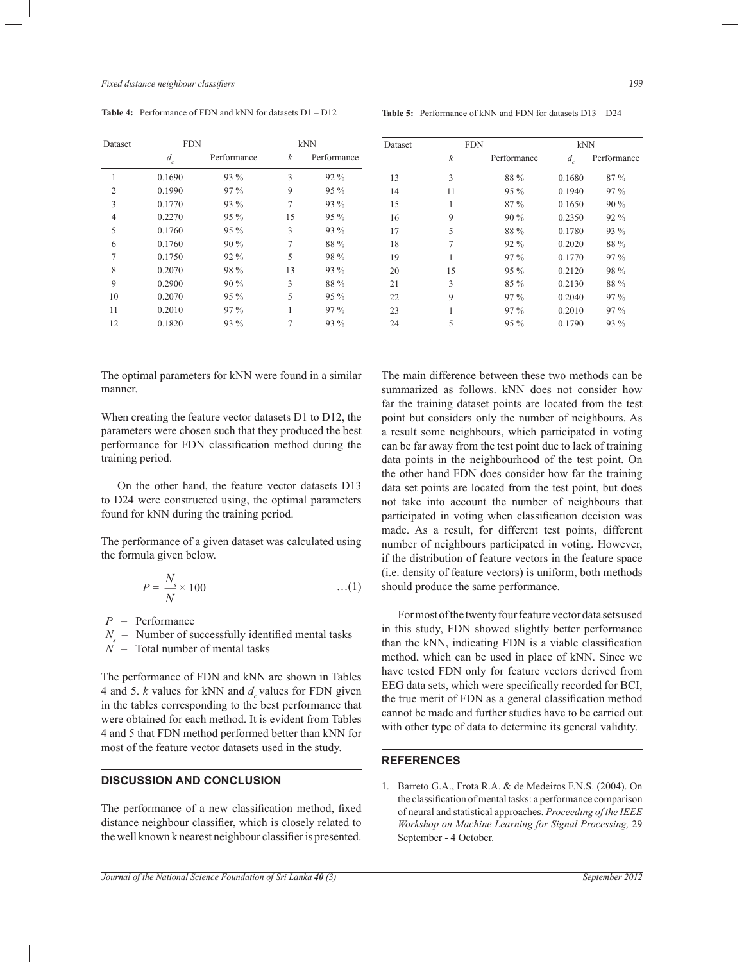| <b>Table 4:</b> Performance of FDN and kNN for datasets D1 – D12 |  |  |  |  |  |  |  |
|------------------------------------------------------------------|--|--|--|--|--|--|--|
|------------------------------------------------------------------|--|--|--|--|--|--|--|

| Dataset        | <b>FDN</b> |             |    | kNN         |  |  |
|----------------|------------|-------------|----|-------------|--|--|
|                | $d_{c}$    | Performance | k  | Performance |  |  |
| 1              | 0.1690     | 93 %        | 3  | $92\%$      |  |  |
| $\mathfrak{D}$ | 0.1990     | $97\%$      | 9  | $95\%$      |  |  |
| 3              | 0.1770     | 93 %        | 7  | 93 %        |  |  |
| $\overline{4}$ | 0.2270     | $95\%$      | 15 | $95\%$      |  |  |
| 5              | 0.1760     | $95\%$      | 3  | 93 %        |  |  |
| 6              | 0.1760     | $90\%$      | 7  | 88 %        |  |  |
| 7              | 0.1750     | $92\%$      | 5  | 98 %        |  |  |
| 8              | 0.2070     | 98 %        | 13 | $93\%$      |  |  |
| 9              | 0.2900     | $90\%$      | 3  | 88 %        |  |  |
| 10             | 0.2070     | $95\%$      | 5  | $95\%$      |  |  |
| 11             | 0.2010     | $97\%$      |    | $97\%$      |  |  |
| 12             | 0.1820     | 93 %        |    | 93 %        |  |  |

**Table 5:** Performance of kNN and FDN for datasets D13 – D24

| Dataset |    | <b>FDN</b>  |         | kNN         |
|---------|----|-------------|---------|-------------|
|         | k  | Performance | $d_{c}$ | Performance |
| 13      | 3  | 88 %        | 0.1680  | $87\%$      |
| 14      | 11 | $95\%$      | 0.1940  | $97\%$      |
| 15      | 1  | $87\%$      | 0.1650  | $90\%$      |
| 16      | 9  | $90\%$      | 0.2350  | $92\%$      |
| 17      | 5  | 88 %        | 0.1780  | $93\%$      |
| 18      | 7  | $92\%$      | 0.2020  | 88 %        |
| 19      | 1  | $97\%$      | 0.1770  | $97\%$      |
| 20      | 15 | $95\%$      | 0.2120  | 98 %        |
| 21      | 3  | $85\%$      | 0.2130  | 88 %        |
| 22      | 9  | $97\%$      | 0.2040  | $97\%$      |
| 23      | 1  | 97%         | 0.2010  | $97\%$      |
| 24      | 5  | $95\%$      | 0.1790  | 93 %        |

The optimal parameters for kNN were found in a similar manner.

When creating the feature vector datasets D1 to D12, the parameters were chosen such that they produced the best performance for FDN classification method during the training period.

 On the other hand, the feature vector datasets D13 to D24 were constructed using, the optimal parameters found for kNN during the training period.

The performance of a given dataset was calculated using the formula given below.

$$
P = \frac{N_s}{N} \times 100 \tag{1}
$$

*P* – Performance

*Ns*  – Number of successfully identified mental tasks

 $\overrightarrow{N}$  – Total number of mental tasks

The performance of FDN and kNN are shown in Tables 4 and 5.  $k$  values for kNN and  $d_c$  values for FDN given in the tables corresponding to the best performance that were obtained for each method. It is evident from Tables 4 and 5 that FDN method performed better than kNN for most of the feature vector datasets used in the study.

# **DISCUSSION AND CONCLUSION**

The performance of a new classification method, fixed distance neighbour classifier, which is closely related to the well known k nearest neighbour classifier is presented. The main difference between these two methods can be summarized as follows. kNN does not consider how far the training dataset points are located from the test point but considers only the number of neighbours. As a result some neighbours, which participated in voting can be far away from the test point due to lack of training data points in the neighbourhood of the test point. On the other hand FDN does consider how far the training data set points are located from the test point, but does not take into account the number of neighbours that participated in voting when classification decision was made. As a result, for different test points, different number of neighbours participated in voting. However, if the distribution of feature vectors in the feature space (i.e. density of feature vectors) is uniform, both methods should produce the same performance.

 For most of the twenty four feature vector data sets used in this study, FDN showed slightly better performance than the kNN, indicating FDN is a viable classification method, which can be used in place of kNN. Since we have tested FDN only for feature vectors derived from EEG data sets, which were specifically recorded for BCI, the true merit of FDN as a general classification method cannot be made and further studies have to be carried out with other type of data to determine its general validity.

## **REFERENCES**

1. Barreto G.A., Frota R.A. & de Medeiros F.N.S. (2004). On the classification of mental tasks: a performance comparison of neural and statistical approaches. *Proceeding of the IEEE Workshop on Machine Learning for Signal Processing,* 29 September - 4 October.